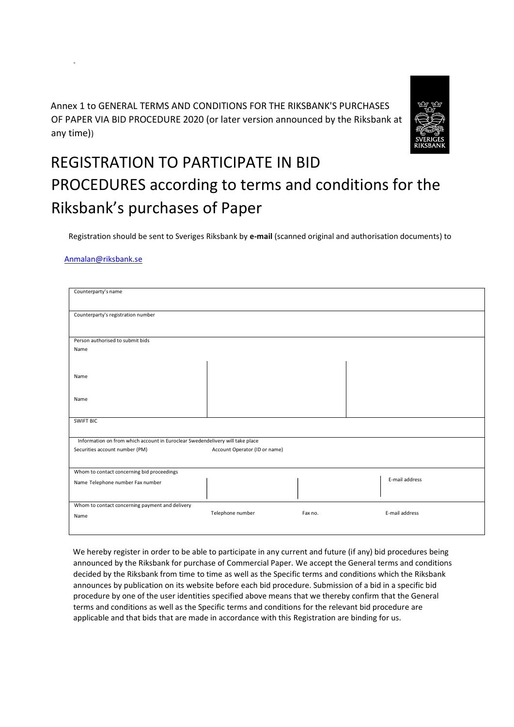Annex 1 to GENERAL TERMS AND CONDITIONS FOR THE RIKSBANK'S PURCHASES OF PAPER VIA BID PROCEDURE 2020 (or later version announced by the Riksbank at any time))



## REGISTRATION TO PARTICIPATE IN BID PROCEDURES according to terms and conditions for the Riksbank's purchases of Paper

Registration should be sent to Sveriges Riksbank by **e-mail** (scanned original and authorisation documents) to

## Anmalan@riksbank.se

| Counterparty's name                                                           |                               |         |  |                |  |
|-------------------------------------------------------------------------------|-------------------------------|---------|--|----------------|--|
|                                                                               |                               |         |  |                |  |
| Counterparty's registration number                                            |                               |         |  |                |  |
|                                                                               |                               |         |  |                |  |
|                                                                               |                               |         |  |                |  |
| Person authorised to submit bids                                              |                               |         |  |                |  |
| Name                                                                          |                               |         |  |                |  |
|                                                                               |                               |         |  |                |  |
|                                                                               |                               |         |  |                |  |
| Name                                                                          |                               |         |  |                |  |
|                                                                               |                               |         |  |                |  |
| Name                                                                          |                               |         |  |                |  |
|                                                                               |                               |         |  |                |  |
|                                                                               |                               |         |  |                |  |
| <b>SWIFT BIC</b>                                                              |                               |         |  |                |  |
|                                                                               |                               |         |  |                |  |
| Information on from which account in Euroclear Swedendelivery will take place |                               |         |  |                |  |
| Securities account number (PM)                                                | Account Operator (ID or name) |         |  |                |  |
|                                                                               |                               |         |  |                |  |
| Whom to contact concerning bid proceedings                                    |                               |         |  |                |  |
| Name Telephone number Fax number                                              |                               |         |  | E-mail address |  |
|                                                                               |                               |         |  |                |  |
|                                                                               |                               |         |  |                |  |
| Whom to contact concerning payment and delivery                               |                               |         |  |                |  |
| Name                                                                          | Telephone number              | Fax no. |  | E-mail address |  |
|                                                                               |                               |         |  |                |  |
|                                                                               |                               |         |  |                |  |

We hereby register in order to be able to participate in any current and future (if any) bid procedures being announced by the Riksbank for purchase of Commercial Paper. We accept the General terms and conditions decided by the Riksbank from time to time as well as the Specific terms and conditions which the Riksbank announces by publication on its website before each bid procedure. Submission of a bid in a specific bid procedure by one of the user identities specified above means that we thereby confirm that the General terms and conditions as well as the Specific terms and conditions for the relevant bid procedure are applicable and that bids that are made in accordance with this Registration are binding for us.